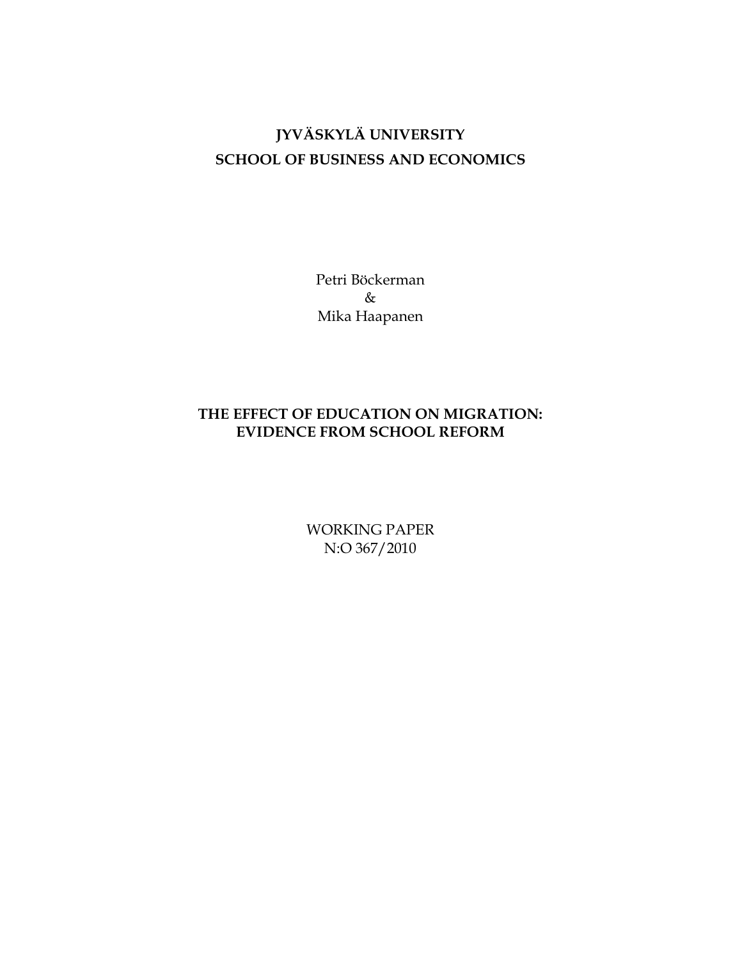# **JYVÄSKYLÄ UNIVERSITY SCHOOL OF BUSINESS AND ECONOMICS**

Petri Böckerman & Mika Haapanen

## **THE EFFECT OF EDUCATION ON MIGRATION: EVIDENCE FROM SCHOOL REFORM**

WORKING PAPER N:O 367/2010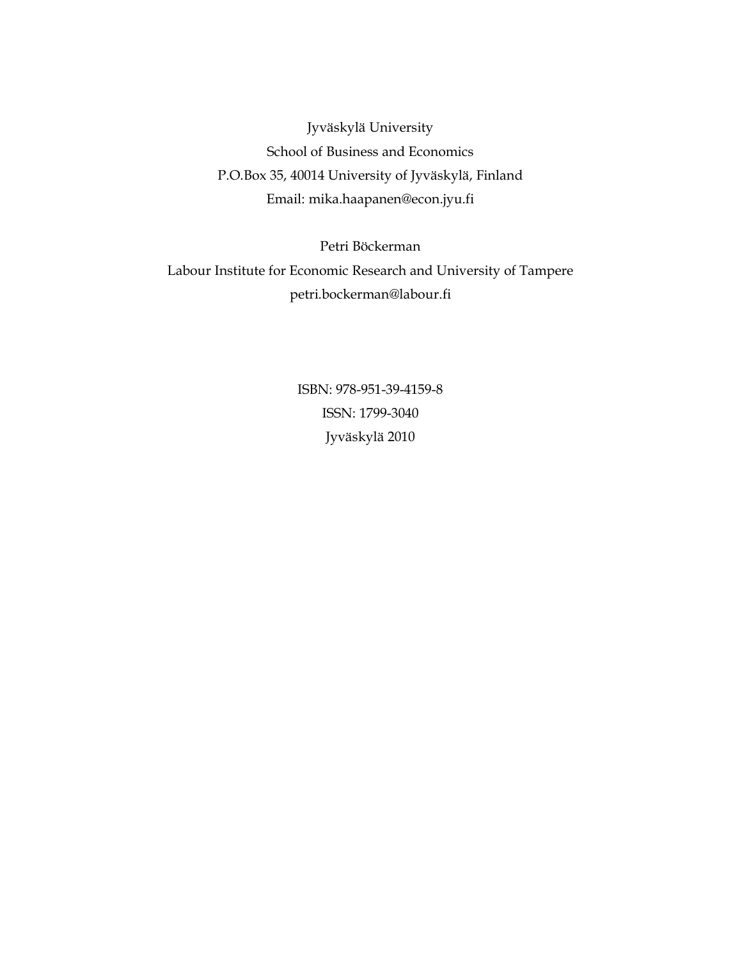Jyväskylä University School of Business and Economics P.O.Box 35, 40014 University of Jyväskylä, Finland Email: mika.haapanen@econ.jyu.fi

Petri Böckerman Labour Institute for Economic Research and University of Tampere petri.bockerman@labour.fi

> ISBN: 978-951-39-4159-8 ISSN: 1799-3040 Jyväskylä 2010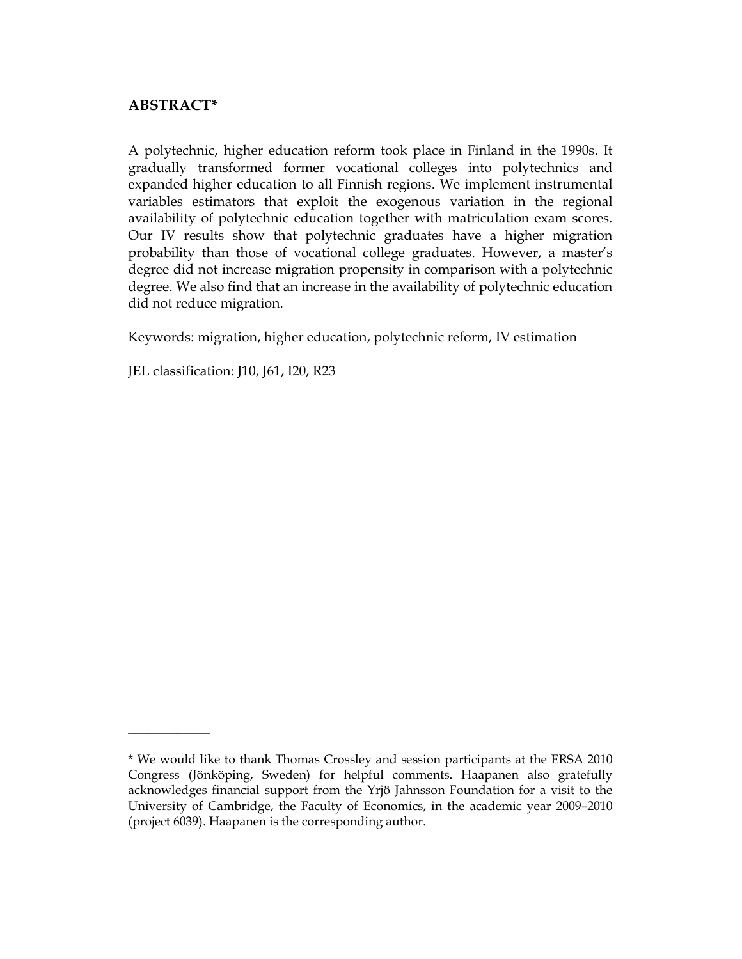## **ABSTRACT\***

 $\frac{1}{2}$  , where  $\frac{1}{2}$ 

A polytechnic, higher education reform took place in Finland in the 1990s. It gradually transformed former vocational colleges into polytechnics and expanded higher education to all Finnish regions. We implement instrumental variables estimators that exploit the exogenous variation in the regional availability of polytechnic education together with matriculation exam scores. Our IV results show that polytechnic graduates have a higher migration probability than those of vocational college graduates. However, a master's degree did not increase migration propensity in comparison with a polytechnic degree. We also find that an increase in the availability of polytechnic education did not reduce migration.

Keywords: migration, higher education, polytechnic reform, IV estimation

JEL classification: J10, J61, I20, R23

<sup>\*</sup> We would like to thank Thomas Crossley and session participants at the ERSA 2010 Congress (Jönköping, Sweden) for helpful comments. Haapanen also gratefully acknowledges financial support from the Yrjö Jahnsson Foundation for a visit to the University of Cambridge, the Faculty of Economics, in the academic year 2009–2010 (project 6039). Haapanen is the corresponding author.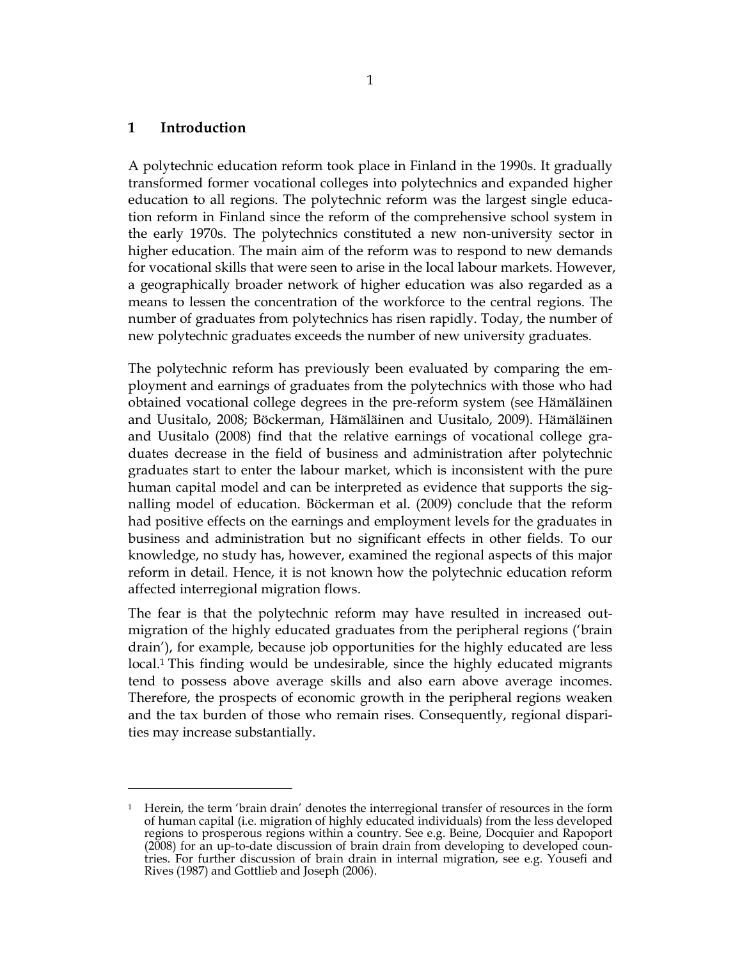#### **1 Introduction**

 $\overline{a}$ 

A polytechnic education reform took place in Finland in the 1990s. It gradually transformed former vocational colleges into polytechnics and expanded higher education to all regions. The polytechnic reform was the largest single education reform in Finland since the reform of the comprehensive school system in the early 1970s. The polytechnics constituted a new non-university sector in higher education. The main aim of the reform was to respond to new demands for vocational skills that were seen to arise in the local labour markets. However, a geographically broader network of higher education was also regarded as a means to lessen the concentration of the workforce to the central regions. The number of graduates from polytechnics has risen rapidly. Today, the number of new polytechnic graduates exceeds the number of new university graduates.

The polytechnic reform has previously been evaluated by comparing the employment and earnings of graduates from the polytechnics with those who had obtained vocational college degrees in the pre-reform system (see Hämäläinen and Uusitalo, 2008; Böckerman, Hämäläinen and Uusitalo, 2009). Hämäläinen and Uusitalo (2008) find that the relative earnings of vocational college graduates decrease in the field of business and administration after polytechnic graduates start to enter the labour market, which is inconsistent with the pure human capital model and can be interpreted as evidence that supports the signalling model of education. Böckerman et al. (2009) conclude that the reform had positive effects on the earnings and employment levels for the graduates in business and administration but no significant effects in other fields. To our knowledge, no study has, however, examined the regional aspects of this major reform in detail. Hence, it is not known how the polytechnic education reform affected interregional migration flows.

The fear is that the polytechnic reform may have resulted in increased outmigration of the highly educated graduates from the peripheral regions ('brain drain'), for example, because job opportunities for the highly educated are less local.<sup>1</sup> This finding would be undesirable, since the highly educated migrants tend to possess above average skills and also earn above average incomes. Therefore, the prospects of economic growth in the peripheral regions weaken and the tax burden of those who remain rises. Consequently, regional disparities may increase substantially.

<sup>1</sup> Herein, the term 'brain drain' denotes the interregional transfer of resources in the form of human capital (i.e. migration of highly educated individuals) from the less developed regions to prosperous regions within a country. See e.g. Beine, Docquier and Rapoport (2008) for an up-to-date discussion of brain drain from developing to developed countries. For further discussion of brain drain in internal migration, see e.g. Yousefi and Rives (1987) and Gottlieb and Joseph (2006).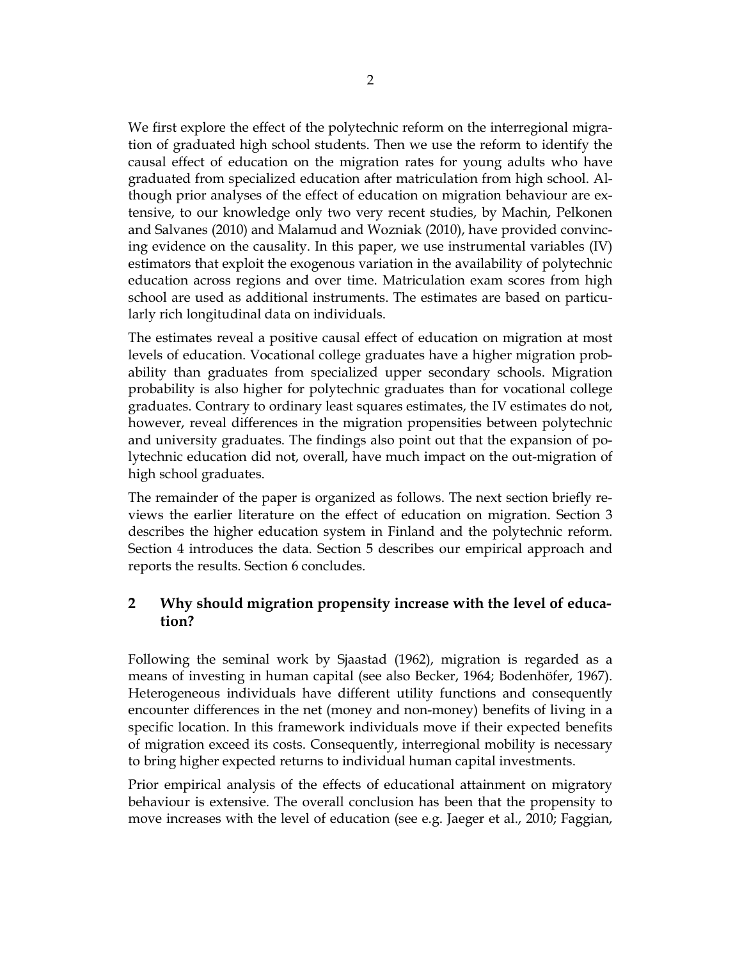We first explore the effect of the polytechnic reform on the interregional migration of graduated high school students. Then we use the reform to identify the causal effect of education on the migration rates for young adults who have graduated from specialized education after matriculation from high school. Although prior analyses of the effect of education on migration behaviour are extensive, to our knowledge only two very recent studies, by Machin, Pelkonen and Salvanes (2010) and Malamud and Wozniak (2010), have provided convincing evidence on the causality. In this paper, we use instrumental variables (IV) estimators that exploit the exogenous variation in the availability of polytechnic education across regions and over time. Matriculation exam scores from high school are used as additional instruments. The estimates are based on particularly rich longitudinal data on individuals.

The estimates reveal a positive causal effect of education on migration at most levels of education. Vocational college graduates have a higher migration probability than graduates from specialized upper secondary schools. Migration probability is also higher for polytechnic graduates than for vocational college graduates. Contrary to ordinary least squares estimates, the IV estimates do not, however, reveal differences in the migration propensities between polytechnic and university graduates. The findings also point out that the expansion of polytechnic education did not, overall, have much impact on the out-migration of high school graduates.

The remainder of the paper is organized as follows. The next section briefly reviews the earlier literature on the effect of education on migration. Section 3 describes the higher education system in Finland and the polytechnic reform. Section 4 introduces the data. Section 5 describes our empirical approach and reports the results. Section 6 concludes.

## **2 Why should migration propensity increase with the level of education?**

Following the seminal work by Sjaastad (1962), migration is regarded as a means of investing in human capital (see also Becker, 1964; Bodenhöfer, 1967). Heterogeneous individuals have different utility functions and consequently encounter differences in the net (money and non-money) benefits of living in a specific location. In this framework individuals move if their expected benefits of migration exceed its costs. Consequently, interregional mobility is necessary to bring higher expected returns to individual human capital investments.

Prior empirical analysis of the effects of educational attainment on migratory behaviour is extensive. The overall conclusion has been that the propensity to move increases with the level of education (see e.g. Jaeger et al., 2010; Faggian,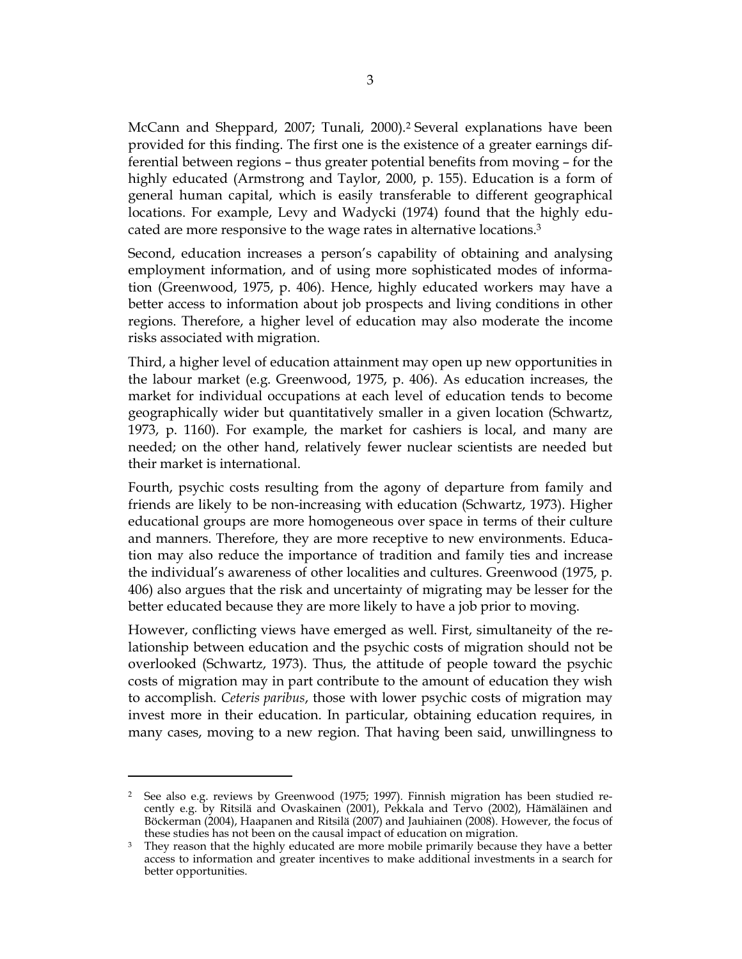McCann and Sheppard, 2007; Tunali, 2000).<sup>2</sup> Several explanations have been provided for this finding. The first one is the existence of a greater earnings differential between regions – thus greater potential benefits from moving – for the highly educated (Armstrong and Taylor, 2000, p. 155). Education is a form of general human capital, which is easily transferable to different geographical locations. For example, Levy and Wadycki (1974) found that the highly educated are more responsive to the wage rates in alternative locations.<sup>3</sup>

Second, education increases a person's capability of obtaining and analysing employment information, and of using more sophisticated modes of information (Greenwood, 1975, p. 406). Hence, highly educated workers may have a better access to information about job prospects and living conditions in other regions. Therefore, a higher level of education may also moderate the income risks associated with migration.

Third, a higher level of education attainment may open up new opportunities in the labour market (e.g. Greenwood, 1975, p. 406). As education increases, the market for individual occupations at each level of education tends to become geographically wider but quantitatively smaller in a given location (Schwartz, 1973, p. 1160). For example, the market for cashiers is local, and many are needed; on the other hand, relatively fewer nuclear scientists are needed but their market is international.

Fourth, psychic costs resulting from the agony of departure from family and friends are likely to be non-increasing with education (Schwartz, 1973). Higher educational groups are more homogeneous over space in terms of their culture and manners. Therefore, they are more receptive to new environments. Education may also reduce the importance of tradition and family ties and increase the individual's awareness of other localities and cultures. Greenwood (1975, p. 406) also argues that the risk and uncertainty of migrating may be lesser for the better educated because they are more likely to have a job prior to moving.

However, conflicting views have emerged as well. First, simultaneity of the relationship between education and the psychic costs of migration should not be overlooked (Schwartz, 1973). Thus, the attitude of people toward the psychic costs of migration may in part contribute to the amount of education they wish to accomplish. *Ceteris paribus*, those with lower psychic costs of migration may invest more in their education. In particular, obtaining education requires, in many cases, moving to a new region. That having been said, unwillingness to

<sup>2</sup> See also e.g. reviews by Greenwood (1975; 1997). Finnish migration has been studied recently e.g. by Ritsilä and Ovaskainen (2001), Pekkala and Tervo (2002), Hämäläinen and Böckerman (2004), Haapanen and Ritsilä (2007) and Jauhiainen (2008). However, the focus of these studies has not been on the causal impact of education on migration.

<sup>3</sup> They reason that the highly educated are more mobile primarily because they have a better access to information and greater incentives to make additional investments in a search for better opportunities.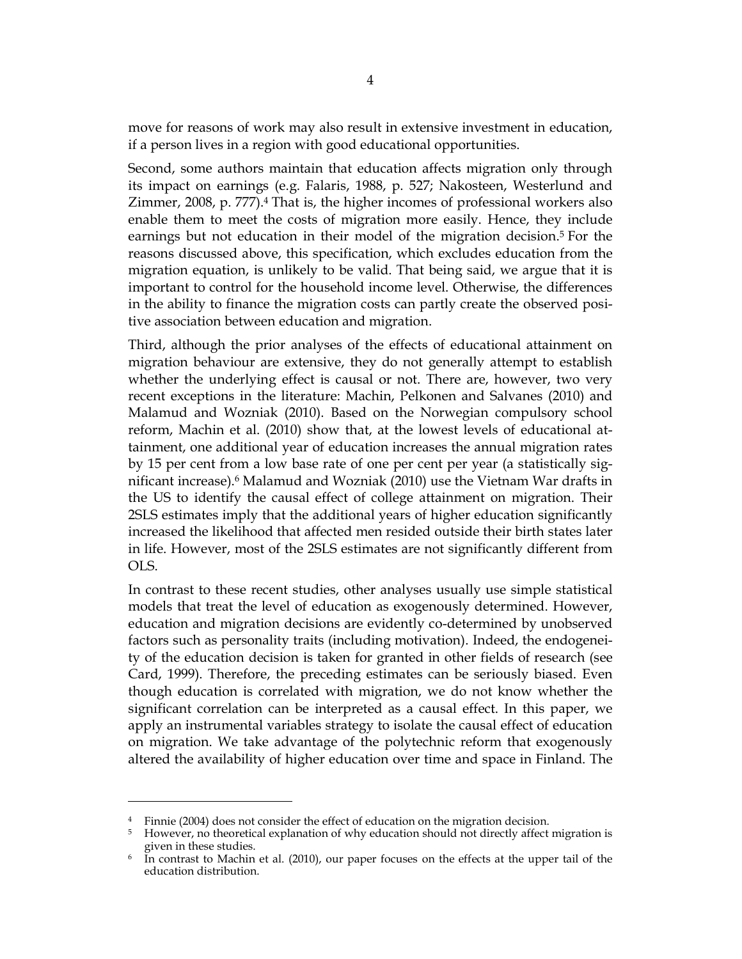move for reasons of work may also result in extensive investment in education, if a person lives in a region with good educational opportunities.

Second, some authors maintain that education affects migration only through its impact on earnings (e.g. Falaris, 1988, p. 527; Nakosteen, Westerlund and Zimmer, 2008, p. 777).<sup>4</sup> That is, the higher incomes of professional workers also enable them to meet the costs of migration more easily. Hence, they include earnings but not education in their model of the migration decision.<sup>5</sup> For the reasons discussed above, this specification, which excludes education from the migration equation, is unlikely to be valid. That being said, we argue that it is important to control for the household income level. Otherwise, the differences in the ability to finance the migration costs can partly create the observed positive association between education and migration.

Third, although the prior analyses of the effects of educational attainment on migration behaviour are extensive, they do not generally attempt to establish whether the underlying effect is causal or not. There are, however, two very recent exceptions in the literature: Machin, Pelkonen and Salvanes (2010) and Malamud and Wozniak (2010). Based on the Norwegian compulsory school reform, Machin et al. (2010) show that, at the lowest levels of educational attainment, one additional year of education increases the annual migration rates by 15 per cent from a low base rate of one per cent per year (a statistically significant increase).<sup>6</sup> Malamud and Wozniak (2010) use the Vietnam War drafts in the US to identify the causal effect of college attainment on migration. Their 2SLS estimates imply that the additional years of higher education significantly increased the likelihood that affected men resided outside their birth states later in life. However, most of the 2SLS estimates are not significantly different from OLS.

In contrast to these recent studies, other analyses usually use simple statistical models that treat the level of education as exogenously determined. However, education and migration decisions are evidently co-determined by unobserved factors such as personality traits (including motivation). Indeed, the endogeneity of the education decision is taken for granted in other fields of research (see Card, 1999). Therefore, the preceding estimates can be seriously biased. Even though education is correlated with migration, we do not know whether the significant correlation can be interpreted as a causal effect. In this paper, we apply an instrumental variables strategy to isolate the causal effect of education on migration. We take advantage of the polytechnic reform that exogenously altered the availability of higher education over time and space in Finland. The

<sup>4</sup> Finnie (2004) does not consider the effect of education on the migration decision.

<sup>5</sup> However, no theoretical explanation of why education should not directly affect migration is given in these studies.

<sup>6</sup> In contrast to Machin et al. (2010), our paper focuses on the effects at the upper tail of the education distribution.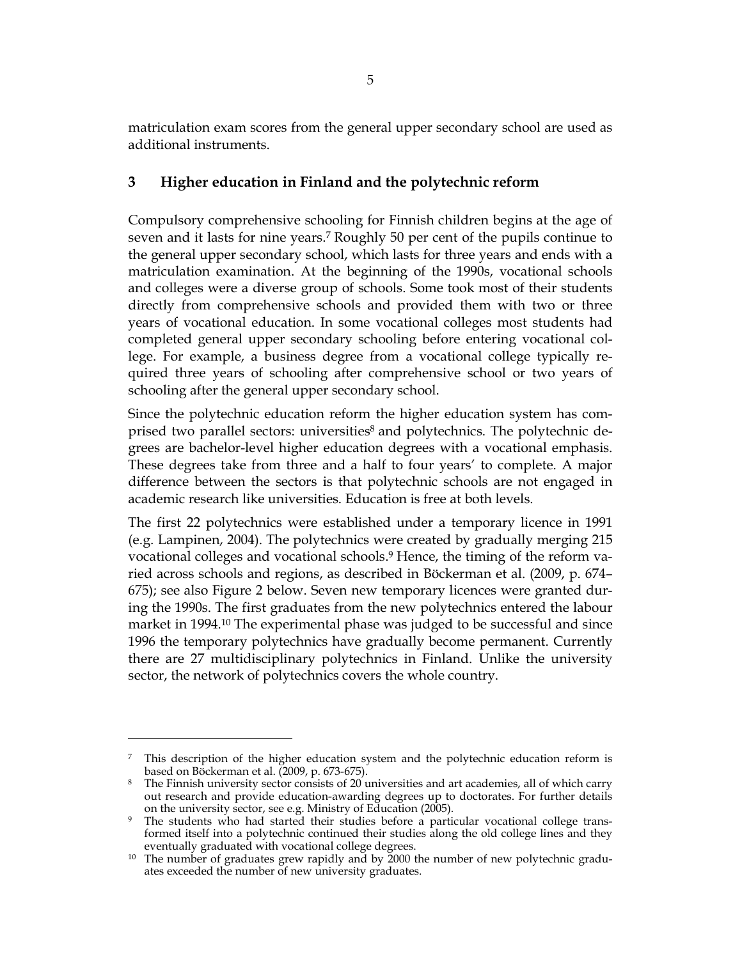matriculation exam scores from the general upper secondary school are used as additional instruments.

## **3 Higher education in Finland and the polytechnic reform**

Compulsory comprehensive schooling for Finnish children begins at the age of seven and it lasts for nine years.<sup>7</sup> Roughly 50 per cent of the pupils continue to the general upper secondary school, which lasts for three years and ends with a matriculation examination. At the beginning of the 1990s, vocational schools and colleges were a diverse group of schools. Some took most of their students directly from comprehensive schools and provided them with two or three years of vocational education. In some vocational colleges most students had completed general upper secondary schooling before entering vocational college. For example, a business degree from a vocational college typically required three years of schooling after comprehensive school or two years of schooling after the general upper secondary school.

Since the polytechnic education reform the higher education system has comprised two parallel sectors: universities<sup>8</sup> and polytechnics. The polytechnic degrees are bachelor-level higher education degrees with a vocational emphasis. These degrees take from three and a half to four years' to complete. A major difference between the sectors is that polytechnic schools are not engaged in academic research like universities. Education is free at both levels.

The first 22 polytechnics were established under a temporary licence in 1991 (e.g. Lampinen, 2004). The polytechnics were created by gradually merging 215 vocational colleges and vocational schools.<sup>9</sup> Hence, the timing of the reform varied across schools and regions, as described in Böckerman et al. (2009, p. 674– 675); see also Figure 2 below. Seven new temporary licences were granted during the 1990s. The first graduates from the new polytechnics entered the labour market in 1994.<sup>10</sup> The experimental phase was judged to be successful and since 1996 the temporary polytechnics have gradually become permanent. Currently there are 27 multidisciplinary polytechnics in Finland. Unlike the university sector, the network of polytechnics covers the whole country.

 $\ddot{\phantom{a}}$ 

<sup>7</sup> This description of the higher education system and the polytechnic education reform is based on Böckerman et al. (2009, p. 673-675).

<sup>8</sup> The Finnish university sector consists of 20 universities and art academies, all of which carry out research and provide education-awarding degrees up to doctorates. For further details on the university sector, see e.g. Ministry of Education (2005).

<sup>9</sup> The students who had started their studies before a particular vocational college transformed itself into a polytechnic continued their studies along the old college lines and they eventually graduated with vocational college degrees.

 $10$  The number of graduates grew rapidly and by 2000 the number of new polytechnic graduates exceeded the number of new university graduates.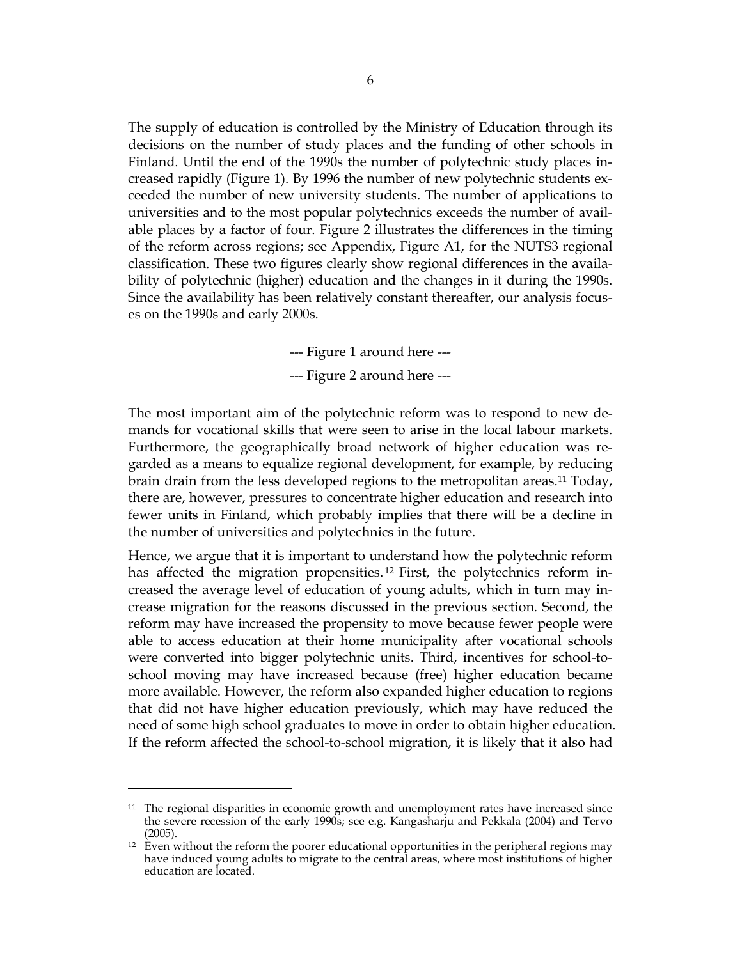The supply of education is controlled by the Ministry of Education through its decisions on the number of study places and the funding of other schools in Finland. Until the end of the 1990s the number of polytechnic study places increased rapidly (Figure 1). By 1996 the number of new polytechnic students exceeded the number of new university students. The number of applications to universities and to the most popular polytechnics exceeds the number of available places by a factor of four. Figure 2 illustrates the differences in the timing of the reform across regions; see Appendix, Figure A1, for the NUTS3 regional classification. These two figures clearly show regional differences in the availability of polytechnic (higher) education and the changes in it during the 1990s. Since the availability has been relatively constant thereafter, our analysis focuses on the 1990s and early 2000s.

--- Figure 1 around here ---

--- Figure 2 around here ---

The most important aim of the polytechnic reform was to respond to new demands for vocational skills that were seen to arise in the local labour markets. Furthermore, the geographically broad network of higher education was regarded as a means to equalize regional development, for example, by reducing brain drain from the less developed regions to the metropolitan areas.<sup>11</sup> Today, there are, however, pressures to concentrate higher education and research into fewer units in Finland, which probably implies that there will be a decline in the number of universities and polytechnics in the future.

Hence, we argue that it is important to understand how the polytechnic reform has affected the migration propensities.<sup>12</sup> First, the polytechnics reform increased the average level of education of young adults, which in turn may increase migration for the reasons discussed in the previous section. Second, the reform may have increased the propensity to move because fewer people were able to access education at their home municipality after vocational schools were converted into bigger polytechnic units. Third, incentives for school-toschool moving may have increased because (free) higher education became more available. However, the reform also expanded higher education to regions that did not have higher education previously, which may have reduced the need of some high school graduates to move in order to obtain higher education. If the reform affected the school-to-school migration, it is likely that it also had

 $11$  The regional disparities in economic growth and unemployment rates have increased since the severe recession of the early 1990s; see e.g. Kangasharju and Pekkala (2004) and Tervo (2005).

 $12$  Even without the reform the poorer educational opportunities in the peripheral regions may have induced young adults to migrate to the central areas, where most institutions of higher education are located.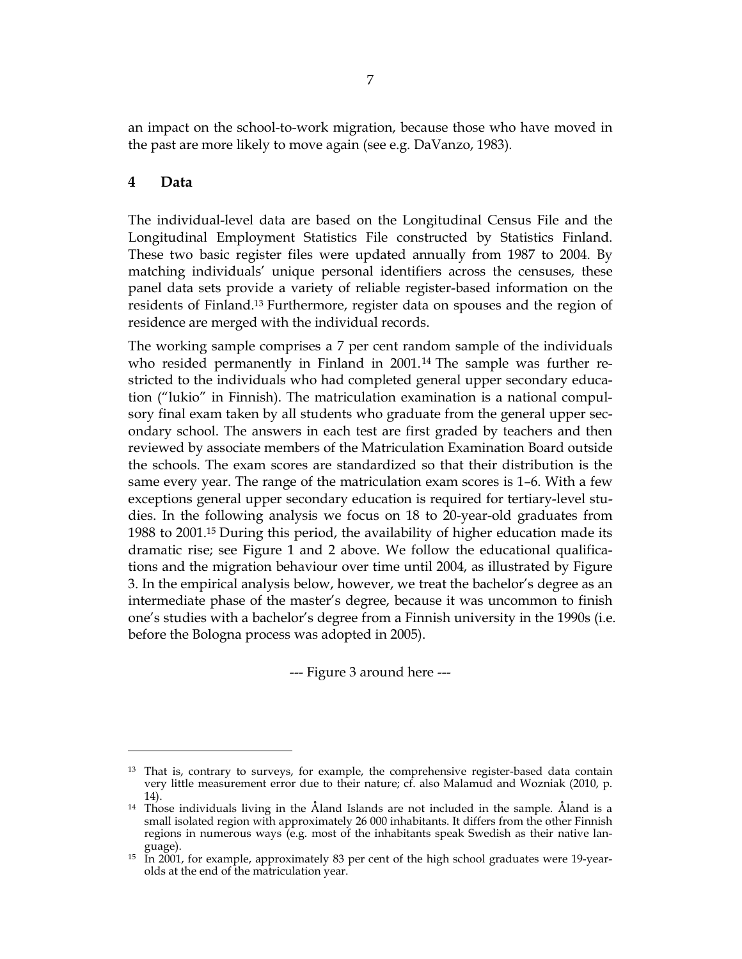an impact on the school-to-work migration, because those who have moved in the past are more likely to move again (see e.g. DaVanzo, 1983).

#### **4 Data**

 $\overline{a}$ 

The individual-level data are based on the Longitudinal Census File and the Longitudinal Employment Statistics File constructed by Statistics Finland. These two basic register files were updated annually from 1987 to 2004. By matching individuals' unique personal identifiers across the censuses, these panel data sets provide a variety of reliable register-based information on the residents of Finland.<sup>13</sup> Furthermore, register data on spouses and the region of residence are merged with the individual records.

The working sample comprises a 7 per cent random sample of the individuals who resided permanently in Finland in 2001.<sup>14</sup> The sample was further restricted to the individuals who had completed general upper secondary education ("lukio" in Finnish). The matriculation examination is a national compulsory final exam taken by all students who graduate from the general upper secondary school. The answers in each test are first graded by teachers and then reviewed by associate members of the Matriculation Examination Board outside the schools. The exam scores are standardized so that their distribution is the same every year. The range of the matriculation exam scores is 1–6. With a few exceptions general upper secondary education is required for tertiary-level studies. In the following analysis we focus on 18 to 20-year-old graduates from 1988 to 2001.<sup>15</sup> During this period, the availability of higher education made its dramatic rise; see Figure 1 and 2 above. We follow the educational qualifications and the migration behaviour over time until 2004, as illustrated by Figure 3. In the empirical analysis below, however, we treat the bachelor's degree as an intermediate phase of the master's degree, because it was uncommon to finish one's studies with a bachelor's degree from a Finnish university in the 1990s (i.e. before the Bologna process was adopted in 2005).

--- Figure 3 around here ---

<sup>&</sup>lt;sup>13</sup> That is, contrary to surveys, for example, the comprehensive register-based data contain very little measurement error due to their nature; cf. also Malamud and Wozniak (2010, p. 14).

<sup>14</sup> Those individuals living in the Åland Islands are not included in the sample. Åland is a small isolated region with approximately 26 000 inhabitants. It differs from the other Finnish regions in numerous ways (e.g. most of the inhabitants speak Swedish as their native language).

 $15$  In  $2001$ , for example, approximately 83 per cent of the high school graduates were 19-yearolds at the end of the matriculation year.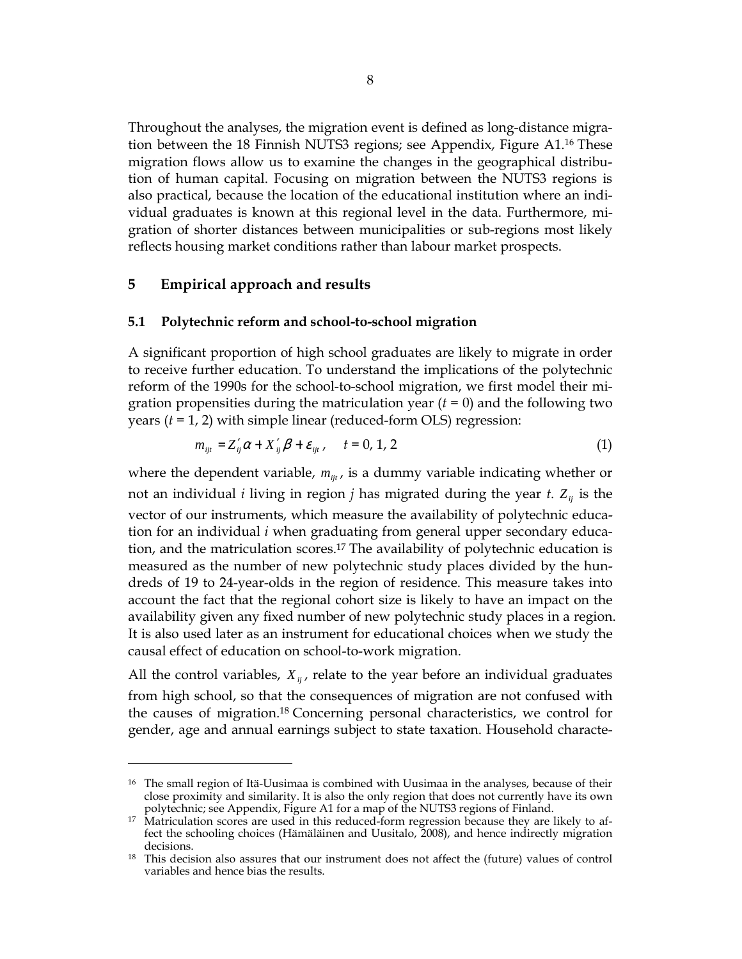Throughout the analyses, the migration event is defined as long-distance migration between the 18 Finnish NUTS3 regions; see Appendix, Figure A1.<sup>16</sup> These migration flows allow us to examine the changes in the geographical distribution of human capital. Focusing on migration between the NUTS3 regions is also practical, because the location of the educational institution where an individual graduates is known at this regional level in the data. Furthermore, migration of shorter distances between municipalities or sub-regions most likely reflects housing market conditions rather than labour market prospects.

#### **5 Empirical approach and results**

 $\overline{a}$ 

#### **5.1 Polytechnic reform and school-to-school migration**

A significant proportion of high school graduates are likely to migrate in order to receive further education. To understand the implications of the polytechnic reform of the 1990s for the school-to-school migration, we first model their migration propensities during the matriculation year  $(t = 0)$  and the following two years (*t* = 1, 2) with simple linear (reduced-form OLS) regression:

$$
m_{ijt} = Z'_{ij}\alpha + X'_{ij}\beta + \varepsilon_{ijt}, \qquad t = 0, 1, 2
$$
 (1)

where the dependent variable,  $m_{ijt}$ , is a dummy variable indicating whether or not an individual *i* living in region *j* has migrated during the year *t*.  $Z_{ii}$  is the vector of our instruments, which measure the availability of polytechnic education for an individual *i* when graduating from general upper secondary education, and the matriculation scores.<sup>17</sup> The availability of polytechnic education is measured as the number of new polytechnic study places divided by the hundreds of 19 to 24-year-olds in the region of residence. This measure takes into account the fact that the regional cohort size is likely to have an impact on the availability given any fixed number of new polytechnic study places in a region. It is also used later as an instrument for educational choices when we study the causal effect of education on school-to-work migration.

All the control variables,  $X_{ij}$ , relate to the year before an individual graduates from high school, so that the consequences of migration are not confused with the causes of migration.<sup>18</sup> Concerning personal characteristics, we control for gender, age and annual earnings subject to state taxation. Household characte-

<sup>&</sup>lt;sup>16</sup> The small region of Itä-Uusimaa is combined with Uusimaa in the analyses, because of their close proximity and similarity. It is also the only region that does not currently have its own polytechnic; see Appendix, Figure A1 for a map of the NUTS3 regions of Finland.

<sup>&</sup>lt;sup>17</sup> Matriculation scores are used in this reduced-form regression because they are likely to affect the schooling choices (Hämäläinen and Uusitalo, 2008), and hence indirectly migration decisions.

<sup>&</sup>lt;sup>18</sup> This decision also assures that our instrument does not affect the (future) values of control variables and hence bias the results.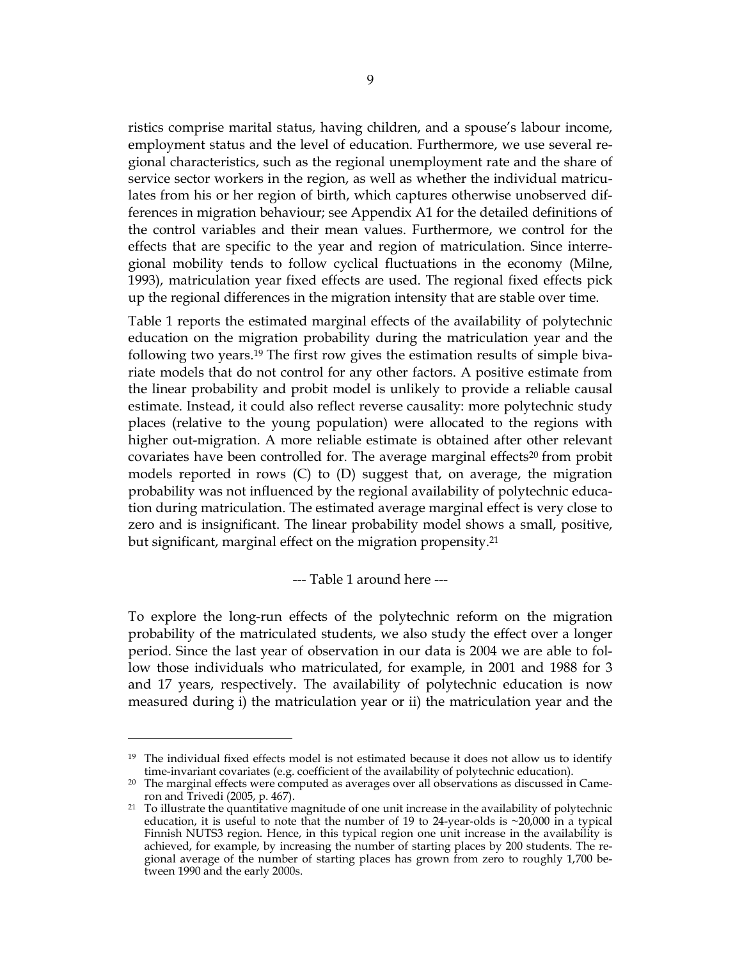ristics comprise marital status, having children, and a spouse's labour income, employment status and the level of education. Furthermore, we use several regional characteristics, such as the regional unemployment rate and the share of service sector workers in the region, as well as whether the individual matriculates from his or her region of birth, which captures otherwise unobserved differences in migration behaviour; see Appendix A1 for the detailed definitions of the control variables and their mean values. Furthermore, we control for the effects that are specific to the year and region of matriculation. Since interregional mobility tends to follow cyclical fluctuations in the economy (Milne, 1993), matriculation year fixed effects are used. The regional fixed effects pick up the regional differences in the migration intensity that are stable over time.

Table 1 reports the estimated marginal effects of the availability of polytechnic education on the migration probability during the matriculation year and the following two years.19 The first row gives the estimation results of simple bivariate models that do not control for any other factors. A positive estimate from the linear probability and probit model is unlikely to provide a reliable causal estimate. Instead, it could also reflect reverse causality: more polytechnic study places (relative to the young population) were allocated to the regions with higher out-migration. A more reliable estimate is obtained after other relevant covariates have been controlled for. The average marginal effects<sup>20</sup> from probit models reported in rows (C) to (D) suggest that, on average, the migration probability was not influenced by the regional availability of polytechnic education during matriculation. The estimated average marginal effect is very close to zero and is insignificant. The linear probability model shows a small, positive, but significant, marginal effect on the migration propensity.<sup>21</sup>

--- Table 1 around here ---

To explore the long-run effects of the polytechnic reform on the migration probability of the matriculated students, we also study the effect over a longer period. Since the last year of observation in our data is 2004 we are able to follow those individuals who matriculated, for example, in 2001 and 1988 for 3 and 17 years, respectively. The availability of polytechnic education is now measured during i) the matriculation year or ii) the matriculation year and the

 $\ddot{\phantom{a}}$ 

<sup>&</sup>lt;sup>19</sup> The individual fixed effects model is not estimated because it does not allow us to identify time-invariant covariates (e.g. coefficient of the availability of polytechnic education).

 $20$  The marginal effects were computed as averages over all observations as discussed in Cameron and Trivedi (2005, p. 467).

 $21$  To illustrate the quantitative magnitude of one unit increase in the availability of polytechnic education, it is useful to note that the number of 19 to 24-year-olds is  $\approx 20,000$  in a typical Finnish NUTS3 region. Hence, in this typical region one unit increase in the availability is achieved, for example, by increasing the number of starting places by 200 students. The regional average of the number of starting places has grown from zero to roughly 1,700 between 1990 and the early 2000s.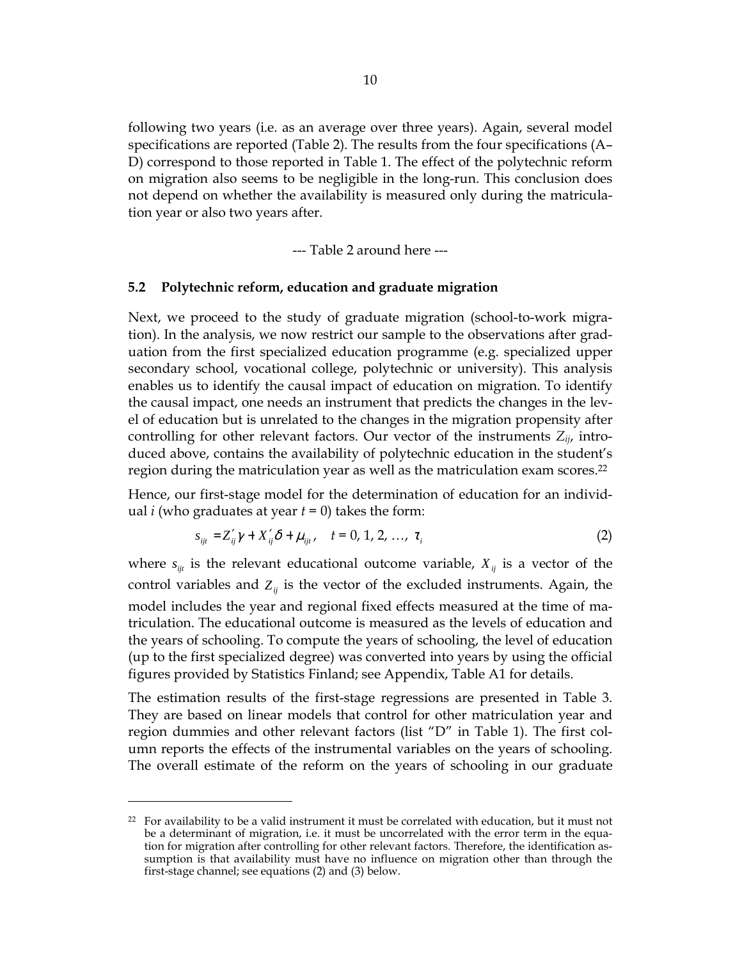following two years (i.e. as an average over three years). Again, several model specifications are reported (Table 2). The results from the four specifications (A– D) correspond to those reported in Table 1. The effect of the polytechnic reform on migration also seems to be negligible in the long-run. This conclusion does not depend on whether the availability is measured only during the matriculation year or also two years after.

--- Table 2 around here ---

#### **5.2 Polytechnic reform, education and graduate migration**

Next, we proceed to the study of graduate migration (school-to-work migration). In the analysis, we now restrict our sample to the observations after graduation from the first specialized education programme (e.g. specialized upper secondary school, vocational college, polytechnic or university). This analysis enables us to identify the causal impact of education on migration. To identify the causal impact, one needs an instrument that predicts the changes in the level of education but is unrelated to the changes in the migration propensity after controlling for other relevant factors. Our vector of the instruments *Zij*, introduced above, contains the availability of polytechnic education in the student's region during the matriculation year as well as the matriculation exam scores.<sup>22</sup>

Hence, our first-stage model for the determination of education for an individual *i* (who graduates at year  $t = 0$ ) takes the form:

$$
s_{ijt} = Z'_{ij}\gamma + X'_{ij}\delta + \mu_{ijt}, \quad t = 0, 1, 2, ..., \tau_i
$$
 (2)

where  $s_{ijt}$  is the relevant educational outcome variable,  $X_{ij}$  is a vector of the control variables and  $Z_{ij}$  is the vector of the excluded instruments. Again, the model includes the year and regional fixed effects measured at the time of matriculation. The educational outcome is measured as the levels of education and the years of schooling. To compute the years of schooling, the level of education (up to the first specialized degree) was converted into years by using the official figures provided by Statistics Finland; see Appendix, Table A1 for details.

The estimation results of the first-stage regressions are presented in Table 3. They are based on linear models that control for other matriculation year and region dummies and other relevant factors (list "D" in Table 1). The first column reports the effects of the instrumental variables on the years of schooling. The overall estimate of the reform on the years of schooling in our graduate

 $22$  For availability to be a valid instrument it must be correlated with education, but it must not be a determinant of migration, i.e. it must be uncorrelated with the error term in the equation for migration after controlling for other relevant factors. Therefore, the identification assumption is that availability must have no influence on migration other than through the first-stage channel; see equations (2) and (3) below.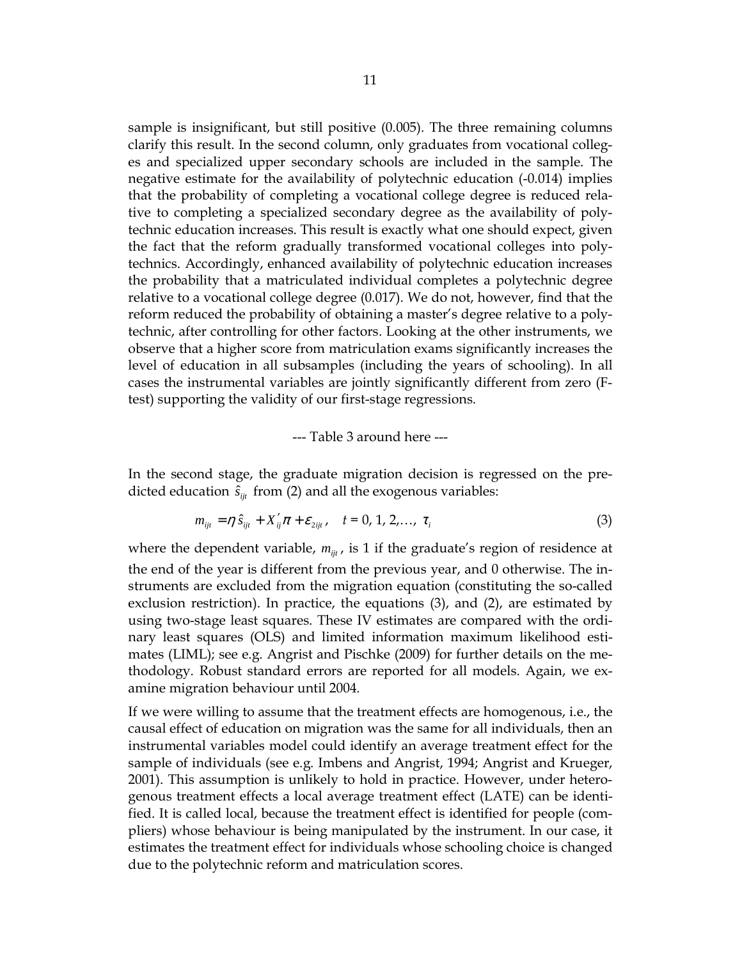sample is insignificant, but still positive (0.005). The three remaining columns clarify this result. In the second column, only graduates from vocational colleges and specialized upper secondary schools are included in the sample. The negative estimate for the availability of polytechnic education (-0.014) implies that the probability of completing a vocational college degree is reduced relative to completing a specialized secondary degree as the availability of polytechnic education increases. This result is exactly what one should expect, given the fact that the reform gradually transformed vocational colleges into polytechnics. Accordingly, enhanced availability of polytechnic education increases the probability that a matriculated individual completes a polytechnic degree relative to a vocational college degree (0.017). We do not, however, find that the reform reduced the probability of obtaining a master's degree relative to a polytechnic, after controlling for other factors. Looking at the other instruments, we observe that a higher score from matriculation exams significantly increases the level of education in all subsamples (including the years of schooling). In all cases the instrumental variables are jointly significantly different from zero (Ftest) supporting the validity of our first-stage regressions.

--- Table 3 around here ---

In the second stage, the graduate migration decision is regressed on the predicted education  $\hat{s}_{\text{in}}$  from (2) and all the exogenous variables:

$$
m_{ijt} = \eta \, \hat{s}_{ijt} + X'_{ij}\pi + \varepsilon_{2ijt}, \quad t = 0, 1, 2, ..., \tau_i
$$
 (3)

where the dependent variable,  $m_{ijt}$ , is 1 if the graduate's region of residence at

the end of the year is different from the previous year, and 0 otherwise. The instruments are excluded from the migration equation (constituting the so-called exclusion restriction). In practice, the equations (3), and (2), are estimated by using two-stage least squares. These IV estimates are compared with the ordinary least squares (OLS) and limited information maximum likelihood estimates (LIML); see e.g. Angrist and Pischke (2009) for further details on the methodology. Robust standard errors are reported for all models. Again, we examine migration behaviour until 2004.

If we were willing to assume that the treatment effects are homogenous, i.e., the causal effect of education on migration was the same for all individuals, then an instrumental variables model could identify an average treatment effect for the sample of individuals (see e.g. Imbens and Angrist, 1994; Angrist and Krueger, 2001). This assumption is unlikely to hold in practice. However, under heterogenous treatment effects a local average treatment effect (LATE) can be identified. It is called local, because the treatment effect is identified for people (compliers) whose behaviour is being manipulated by the instrument. In our case, it estimates the treatment effect for individuals whose schooling choice is changed due to the polytechnic reform and matriculation scores.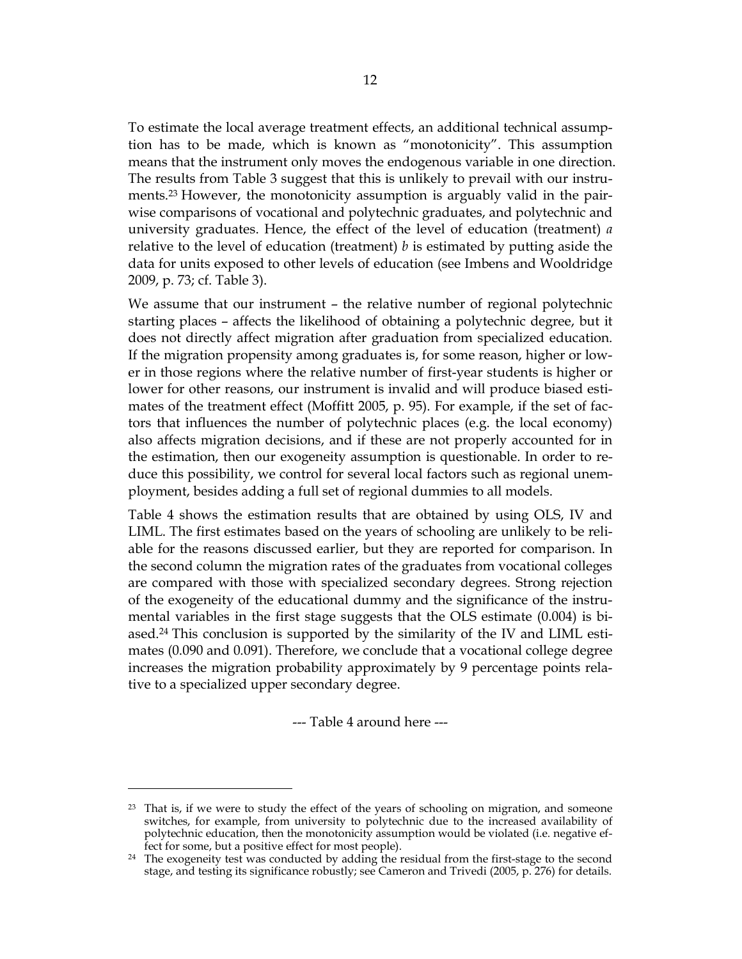To estimate the local average treatment effects, an additional technical assumption has to be made, which is known as "monotonicity". This assumption means that the instrument only moves the endogenous variable in one direction. The results from Table 3 suggest that this is unlikely to prevail with our instruments.<sup>23</sup> However, the monotonicity assumption is arguably valid in the pairwise comparisons of vocational and polytechnic graduates, and polytechnic and university graduates. Hence, the effect of the level of education (treatment) *a* relative to the level of education (treatment) *b* is estimated by putting aside the data for units exposed to other levels of education (see Imbens and Wooldridge 2009, p. 73; cf. Table 3).

We assume that our instrument – the relative number of regional polytechnic starting places – affects the likelihood of obtaining a polytechnic degree, but it does not directly affect migration after graduation from specialized education. If the migration propensity among graduates is, for some reason, higher or lower in those regions where the relative number of first-year students is higher or lower for other reasons, our instrument is invalid and will produce biased estimates of the treatment effect (Moffitt 2005, p. 95). For example, if the set of factors that influences the number of polytechnic places (e.g. the local economy) also affects migration decisions, and if these are not properly accounted for in the estimation, then our exogeneity assumption is questionable. In order to reduce this possibility, we control for several local factors such as regional unemployment, besides adding a full set of regional dummies to all models.

Table 4 shows the estimation results that are obtained by using OLS, IV and LIML. The first estimates based on the years of schooling are unlikely to be reliable for the reasons discussed earlier, but they are reported for comparison. In the second column the migration rates of the graduates from vocational colleges are compared with those with specialized secondary degrees. Strong rejection of the exogeneity of the educational dummy and the significance of the instrumental variables in the first stage suggests that the OLS estimate (0.004) is biased.24 This conclusion is supported by the similarity of the IV and LIML estimates (0.090 and 0.091). Therefore, we conclude that a vocational college degree increases the migration probability approximately by 9 percentage points relative to a specialized upper secondary degree.

--- Table 4 around here ---

<sup>&</sup>lt;sup>23</sup> That is, if we were to study the effect of the years of schooling on migration, and someone switches, for example, from university to polytechnic due to the increased availability of polytechnic education, then the monotonicity assumption would be violated (i.e. negative effect for some, but a positive effect for most people).

 $24$  The exogeneity test was conducted by adding the residual from the first-stage to the second stage, and testing its significance robustly; see Cameron and Trivedi (2005, p. 276) for details.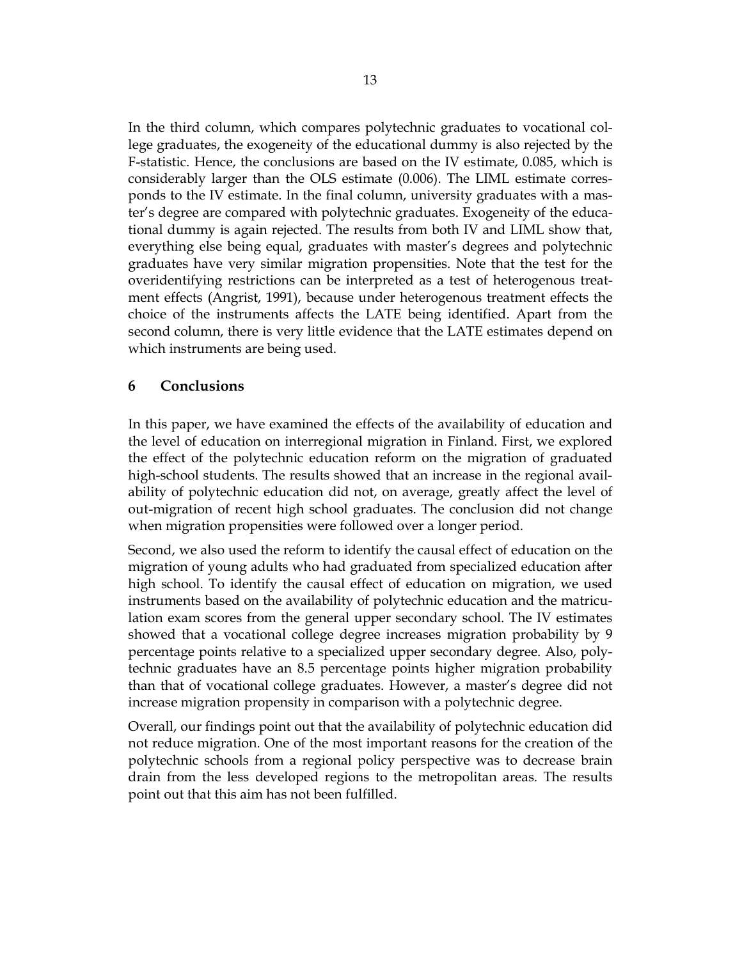In the third column, which compares polytechnic graduates to vocational college graduates, the exogeneity of the educational dummy is also rejected by the F-statistic. Hence, the conclusions are based on the IV estimate, 0.085, which is considerably larger than the OLS estimate (0.006). The LIML estimate corresponds to the IV estimate. In the final column, university graduates with a master's degree are compared with polytechnic graduates. Exogeneity of the educational dummy is again rejected. The results from both IV and LIML show that, everything else being equal, graduates with master's degrees and polytechnic graduates have very similar migration propensities. Note that the test for the overidentifying restrictions can be interpreted as a test of heterogenous treatment effects (Angrist, 1991), because under heterogenous treatment effects the choice of the instruments affects the LATE being identified. Apart from the second column, there is very little evidence that the LATE estimates depend on which instruments are being used.

## **6 Conclusions**

In this paper, we have examined the effects of the availability of education and the level of education on interregional migration in Finland. First, we explored the effect of the polytechnic education reform on the migration of graduated high-school students. The results showed that an increase in the regional availability of polytechnic education did not, on average, greatly affect the level of out-migration of recent high school graduates. The conclusion did not change when migration propensities were followed over a longer period.

Second, we also used the reform to identify the causal effect of education on the migration of young adults who had graduated from specialized education after high school. To identify the causal effect of education on migration, we used instruments based on the availability of polytechnic education and the matriculation exam scores from the general upper secondary school. The IV estimates showed that a vocational college degree increases migration probability by 9 percentage points relative to a specialized upper secondary degree. Also, polytechnic graduates have an 8.5 percentage points higher migration probability than that of vocational college graduates. However, a master's degree did not increase migration propensity in comparison with a polytechnic degree.

Overall, our findings point out that the availability of polytechnic education did not reduce migration. One of the most important reasons for the creation of the polytechnic schools from a regional policy perspective was to decrease brain drain from the less developed regions to the metropolitan areas. The results point out that this aim has not been fulfilled.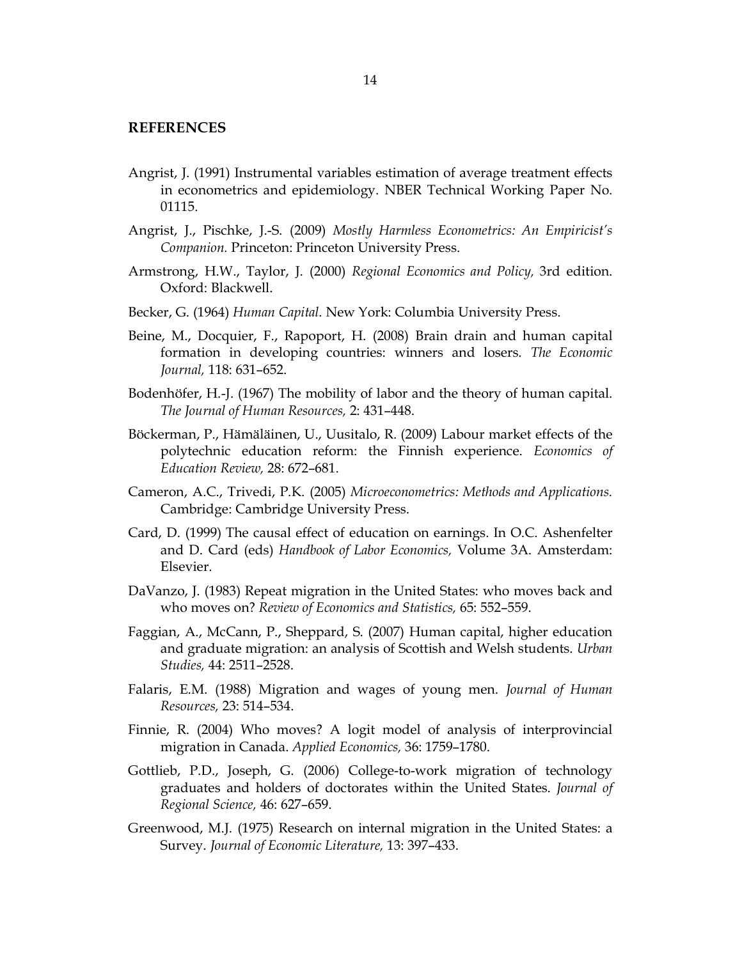#### **REFERENCES**

- Angrist, J. (1991) Instrumental variables estimation of average treatment effects in econometrics and epidemiology. NBER Technical Working Paper No. 01115.
- Angrist, J., Pischke, J.-S. (2009) *Mostly Harmless Econometrics: An Empiricist's Companion.* Princeton: Princeton University Press.
- Armstrong, H.W., Taylor, J. (2000) *Regional Economics and Policy,* 3rd edition. Oxford: Blackwell.
- Becker, G. (1964) *Human Capital.* New York: Columbia University Press.
- Beine, M., Docquier, F., Rapoport, H. (2008) Brain drain and human capital formation in developing countries: winners and losers. *The Economic Journal,* 118: 631–652.
- Bodenhöfer, H.-J. (1967) The mobility of labor and the theory of human capital. *The Journal of Human Resources,* 2: 431–448.
- Böckerman, P., Hämäläinen, U., Uusitalo, R. (2009) Labour market effects of the polytechnic education reform: the Finnish experience. *Economics of Education Review,* 28: 672–681.
- Cameron, A.C., Trivedi, P.K. (2005) *Microeconometrics: Methods and Applications.* Cambridge: Cambridge University Press.
- Card, D. (1999) The causal effect of education on earnings. In O.C. Ashenfelter and D. Card (eds) *Handbook of Labor Economics,* Volume 3A. Amsterdam: Elsevier.
- DaVanzo, J. (1983) Repeat migration in the United States: who moves back and who moves on? *Review of Economics and Statistics,* 65: 552–559.
- Faggian, A., McCann, P., Sheppard, S. (2007) Human capital, higher education and graduate migration: an analysis of Scottish and Welsh students. *Urban Studies,* 44: 2511–2528.
- Falaris, E.M. (1988) Migration and wages of young men. *Journal of Human Resources,* 23: 514–534.
- Finnie, R. (2004) Who moves? A logit model of analysis of interprovincial migration in Canada. *Applied Economics,* 36: 1759–1780.
- Gottlieb, P.D., Joseph, G. (2006) College-to-work migration of technology graduates and holders of doctorates within the United States. *Journal of Regional Science,* 46: 627–659.
- Greenwood, M.J. (1975) Research on internal migration in the United States: a Survey. *Journal of Economic Literature,* 13: 397–433.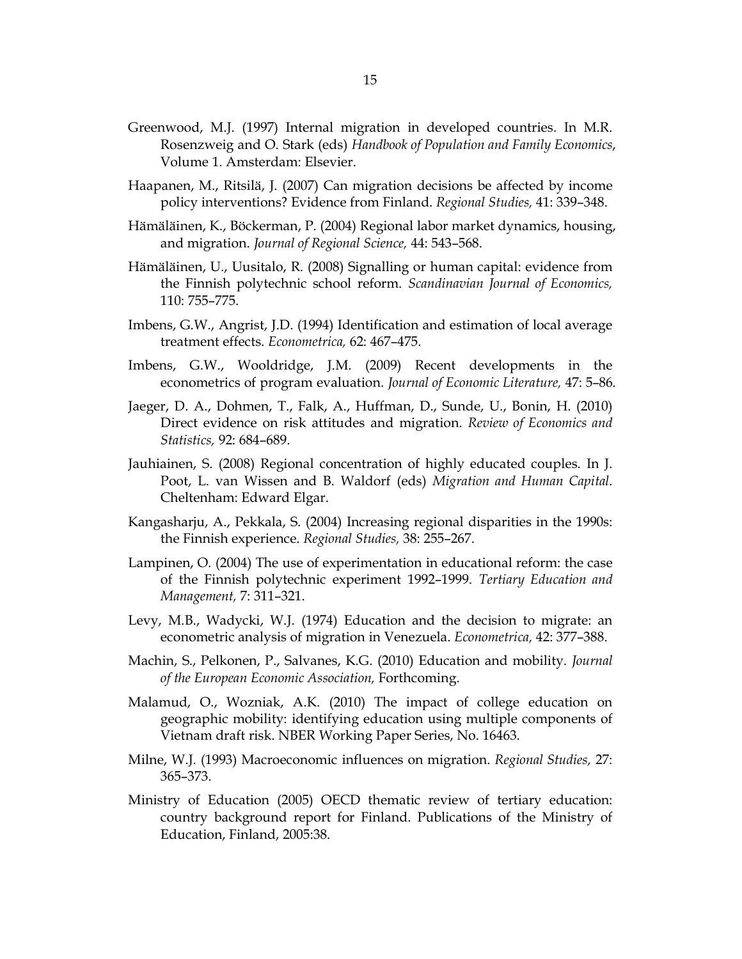- Greenwood, M.J. (1997) Internal migration in developed countries. In M.R. Rosenzweig and O. Stark (eds) *Handbook of Population and Family Economics*, Volume 1. Amsterdam: Elsevier.
- Haapanen, M., Ritsilä, J. (2007) Can migration decisions be affected by income policy interventions? Evidence from Finland. *Regional Studies,* 41: 339–348.
- Hämäläinen, K., Böckerman, P. (2004) Regional labor market dynamics, housing, and migration. *Journal of Regional Science,* 44: 543–568.
- Hämäläinen, U., Uusitalo, R. (2008) Signalling or human capital: evidence from the Finnish polytechnic school reform. *Scandinavian Journal of Economics,* 110: 755–775.
- Imbens, G.W., Angrist, J.D. (1994) Identification and estimation of local average treatment effects. *Econometrica,* 62: 467–475.
- Imbens, G.W., Wooldridge, J.M. (2009) Recent developments in the econometrics of program evaluation. *Journal of Economic Literature,* 47: 5–86.
- Jaeger, D. A., Dohmen, T., Falk, A., Huffman, D., Sunde, U., Bonin, H. (2010) Direct evidence on risk attitudes and migration. *Review of Economics and Statistics,* 92: 684–689.
- Jauhiainen, S. (2008) Regional concentration of highly educated couples. In J. Poot, L. van Wissen and B. Waldorf (eds) *Migration and Human Capital*. Cheltenham: Edward Elgar.
- Kangasharju, A., Pekkala, S. (2004) Increasing regional disparities in the 1990s: the Finnish experience. *Regional Studies,* 38: 255–267.
- Lampinen, O. (2004) The use of experimentation in educational reform: the case of the Finnish polytechnic experiment 1992–1999. *Tertiary Education and Management,* 7: 311–321.
- Levy, M.B., Wadycki, W.J. (1974) Education and the decision to migrate: an econometric analysis of migration in Venezuela. *Econometrica,* 42: 377–388.
- Machin, S., Pelkonen, P., Salvanes, K.G. (2010) Education and mobility. *Journal of the European Economic Association,* Forthcoming.
- Malamud, O., Wozniak, A.K. (2010) The impact of college education on geographic mobility: identifying education using multiple components of Vietnam draft risk. NBER Working Paper Series, No. 16463.
- Milne, W.J. (1993) Macroeconomic influences on migration. *Regional Studies,* 27: 365–373.
- Ministry of Education (2005) OECD thematic review of tertiary education: country background report for Finland. Publications of the Ministry of Education, Finland, 2005:38.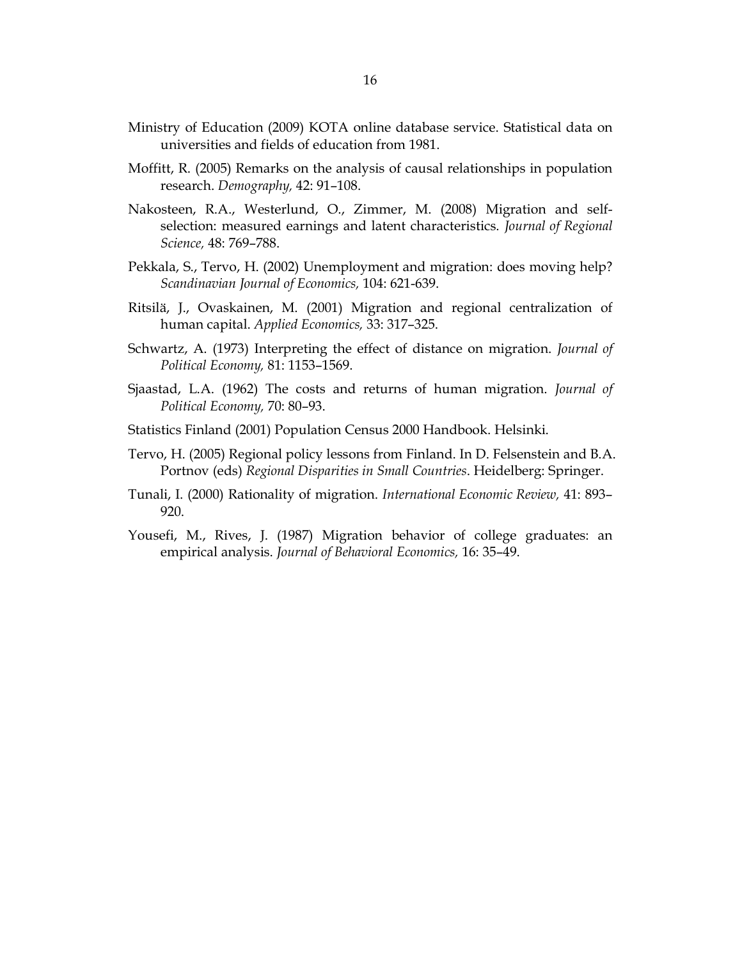- Ministry of Education (2009) KOTA online database service. Statistical data on universities and fields of education from 1981.
- Moffitt, R. (2005) Remarks on the analysis of causal relationships in population research. *Demography,* 42: 91–108.
- Nakosteen, R.A., Westerlund, O., Zimmer, M. (2008) Migration and selfselection: measured earnings and latent characteristics. *Journal of Regional Science,* 48: 769–788.
- Pekkala, S., Tervo, H. (2002) Unemployment and migration: does moving help? *Scandinavian Journal of Economics,* 104: 621-639.
- Ritsilä, J., Ovaskainen, M. (2001) Migration and regional centralization of human capital. *Applied Economics,* 33: 317–325.
- Schwartz, A. (1973) Interpreting the effect of distance on migration. *Journal of Political Economy,* 81: 1153–1569.
- Sjaastad, L.A. (1962) The costs and returns of human migration. *Journal of Political Economy,* 70: 80–93.
- Statistics Finland (2001) Population Census 2000 Handbook. Helsinki.
- Tervo, H. (2005) Regional policy lessons from Finland. In D. Felsenstein and B.A. Portnov (eds) *Regional Disparities in Small Countries*. Heidelberg: Springer.
- Tunali, I. (2000) Rationality of migration. *International Economic Review,* 41: 893– 920.
- Yousefi, M., Rives, J. (1987) Migration behavior of college graduates: an empirical analysis. *Journal of Behavioral Economics,* 16: 35–49.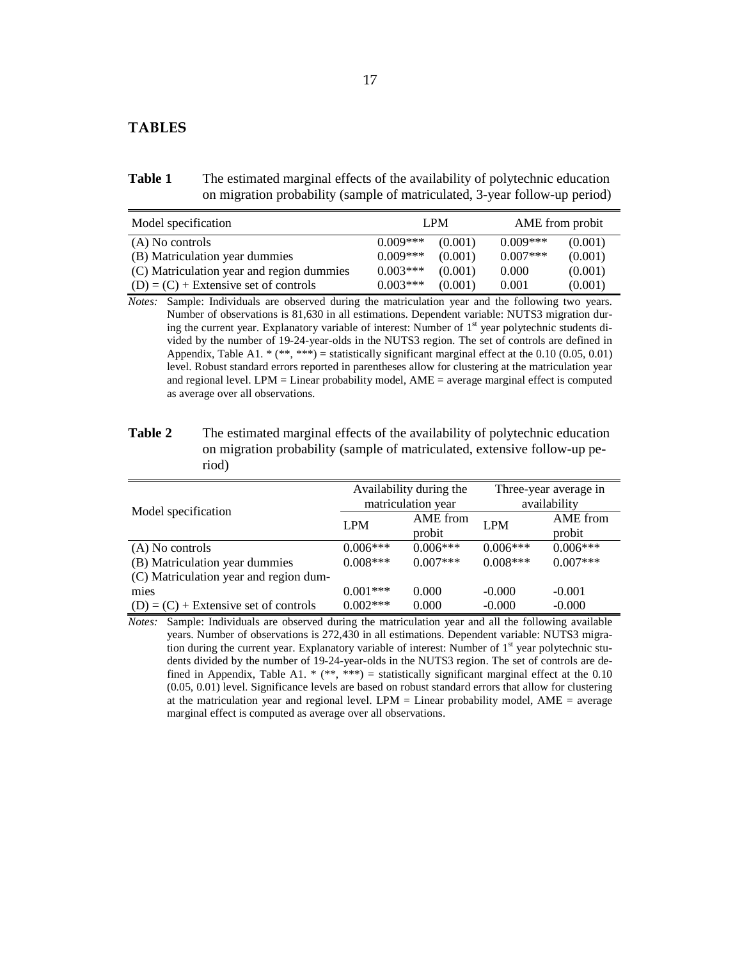#### **TABLES**

Table 1 The estimated marginal effects of the availability of polytechnic education on migration probability (sample of matriculated, 3-year follow-up period)

| Model specification                       | LPM        |         |            | AME from probit |  |
|-------------------------------------------|------------|---------|------------|-----------------|--|
| (A) No controls                           | $0.009***$ | (0.001) | $0.009***$ | (0.001)         |  |
| (B) Matriculation year dummies            | $0.009***$ | (0.001) | $0.007***$ | (0.001)         |  |
| (C) Matriculation year and region dummies | $0.003***$ | (0.001) | 0.000      | (0.001)         |  |
| $(D) = (C) +$ Extensive set of controls   | $0.003***$ | (0.001) | 0.001      | (0.001)         |  |

*Notes:* Sample: Individuals are observed during the matriculation year and the following two years. Number of observations is 81,630 in all estimations. Dependent variable: NUTS3 migration during the current year. Explanatory variable of interest: Number of 1<sup>st</sup> year polytechnic students divided by the number of 19-24-year-olds in the NUTS3 region. The set of controls are defined in Appendix, Table A1. \*  $(**, **)$  = statistically significant marginal effect at the 0.10 (0.05, 0.01) level. Robust standard errors reported in parentheses allow for clustering at the matriculation year and regional level. LPM = Linear probability model, AME = average marginal effect is computed as average over all observations.

| Table 2 | The estimated marginal effects of the availability of polytechnic education |
|---------|-----------------------------------------------------------------------------|
|         | on migration probability (sample of matriculated, extensive follow-up pe-   |
|         | riod)                                                                       |

|                                         | Availability during the |            | Three-year average in |            |
|-----------------------------------------|-------------------------|------------|-----------------------|------------|
| Model specification                     | matriculation year      |            | availability          |            |
|                                         | <b>LPM</b>              | AME from   | <b>LPM</b>            | AME from   |
|                                         |                         | probit     |                       | probit     |
| (A) No controls                         | $0.006***$              | $0.006***$ | $0.006***$            | $0.006***$ |
| (B) Matriculation year dummies          | $0.008***$              | $0.007***$ | $0.008***$            | $0.007***$ |
| (C) Matriculation year and region dum-  |                         |            |                       |            |
| mies                                    | $0.001***$              | 0.000      | $-0.000$              | $-0.001$   |
| $(D) = (C) +$ Extensive set of controls | $0.002***$              | 0.000      | $-0.000$              | $-0.000$   |

*Notes:* Sample: Individuals are observed during the matriculation year and all the following available years. Number of observations is 272,430 in all estimations. Dependent variable: NUTS3 migration during the current year. Explanatory variable of interest: Number of 1<sup>st</sup> year polytechnic students divided by the number of 19-24-year-olds in the NUTS3 region. The set of controls are defined in Appendix, Table A1. \* (\*\*, \*\*\*) = statistically significant marginal effect at the 0.10 (0.05, 0.01) level. Significance levels are based on robust standard errors that allow for clustering at the matriculation year and regional level. LPM = Linear probability model,  $AME = average$ marginal effect is computed as average over all observations.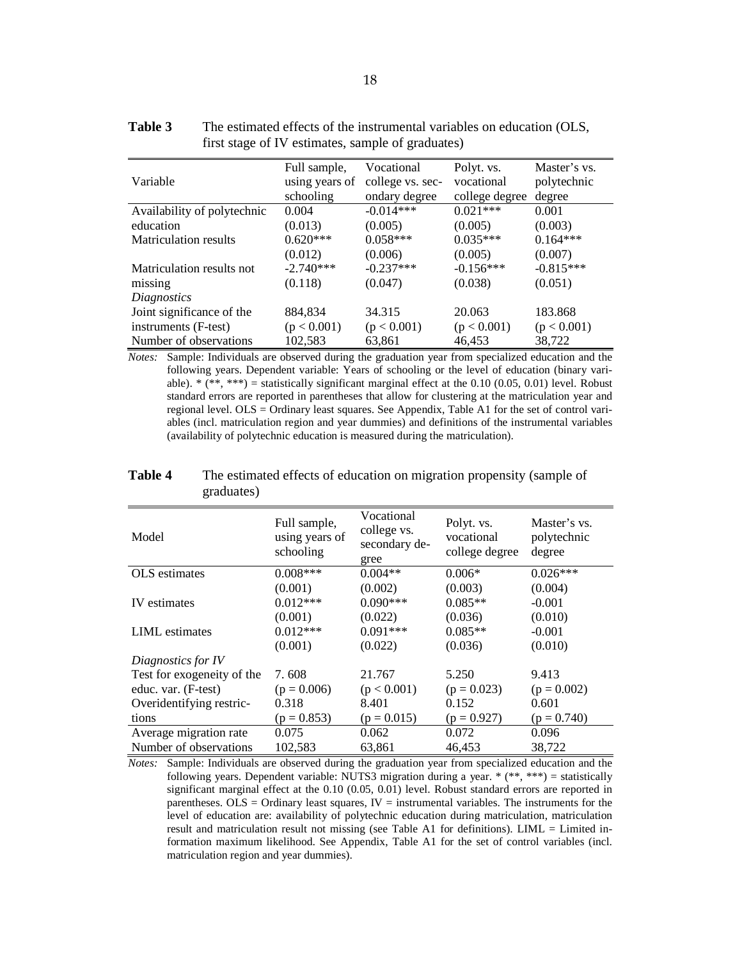|                              | Full sample,   | Vocational       | Polyt. vs.     | Master's vs. |
|------------------------------|----------------|------------------|----------------|--------------|
| Variable                     | using years of | college vs. sec- | vocational     | polytechnic  |
|                              | schooling      | ondary degree    | college degree | degree       |
| Availability of polytechnic  | 0.004          | $-0.014***$      | $0.021***$     | 0.001        |
| education                    | (0.013)        | (0.005)          | (0.005)        | (0.003)      |
| <b>Matriculation results</b> | $0.620***$     | $0.058***$       | $0.035***$     | $0.164***$   |
|                              | (0.012)        | (0.006)          | (0.005)        | (0.007)      |
| Matriculation results not    | $-2.740***$    | $-0.237***$      | $-0.156***$    | $-0.815***$  |
| missing                      | (0.118)        | (0.047)          | (0.038)        | (0.051)      |
| Diagnostics                  |                |                  |                |              |
| Joint significance of the    | 884,834        | 34.315           | 20.063         | 183.868      |
| instruments (F-test)         | (p < 0.001)    | (p < 0.001)      | (p < 0.001)    | (p < 0.001)  |
| Number of observations       | 102,583        | 63,861           | 46,453         | 38,722       |

**Table 3** The estimated effects of the instrumental variables on education (OLS, first stage of IV estimates, sample of graduates)

*Notes:* Sample: Individuals are observed during the graduation year from specialized education and the following years. Dependent variable: Years of schooling or the level of education (binary variable).  $*$  ( $**$ ,  $***$ ) = statistically significant marginal effect at the 0.10 (0.05, 0.01) level. Robust standard errors are reported in parentheses that allow for clustering at the matriculation year and regional level. OLS = Ordinary least squares. See Appendix, Table A1 for the set of control variables (incl. matriculation region and year dummies) and definitions of the instrumental variables (availability of polytechnic education is measured during the matriculation).

| Model                      | Full sample,<br>using years of<br>schooling | Vocational<br>college vs.<br>secondary de-<br>gree | Polyt. vs.<br>vocational<br>college degree | Master's vs.<br>polytechnic<br>degree |
|----------------------------|---------------------------------------------|----------------------------------------------------|--------------------------------------------|---------------------------------------|
| <b>OLS</b> estimates       | $0.008***$                                  | $0.004**$                                          | $0.006*$                                   | $0.026***$                            |
|                            | (0.001)                                     | (0.002)                                            | (0.003)                                    | (0.004)                               |
| <b>IV</b> estimates        | $0.012***$                                  | $0.090***$                                         | $0.085**$                                  | $-0.001$                              |
|                            | (0.001)                                     | (0.022)                                            | (0.036)                                    | (0.010)                               |
| <b>LIML</b> estimates      | $0.012***$                                  | $0.091***$                                         | $0.085**$                                  | $-0.001$                              |
|                            | (0.001)                                     | (0.022)                                            | (0.036)                                    | (0.010)                               |
| Diagnostics for IV         |                                             |                                                    |                                            |                                       |
| Test for exogeneity of the | 7.608                                       | 21.767                                             | 5.250                                      | 9.413                                 |
| educ. var. (F-test)        | $(p = 0.006)$                               | (p < 0.001)                                        | $(p = 0.023)$                              | $(p = 0.002)$                         |
| Overidentifying restric-   | 0.318                                       | 8.401                                              | 0.152                                      | 0.601                                 |
| tions                      | $(p = 0.853)$                               | $(p = 0.015)$                                      | $(p = 0.927)$                              | $(p = 0.740)$                         |
| Average migration rate     | 0.075                                       | 0.062                                              | 0.072                                      | 0.096                                 |
| Number of observations     | 102,583                                     | 63,861                                             | 46,453                                     | 38,722                                |

**Table 4** The estimated effects of education on migration propensity (sample of graduates)

*Notes:* Sample: Individuals are observed during the graduation year from specialized education and the following years. Dependent variable: NUTS3 migration during a year.  $*(**, ***)$  = statistically significant marginal effect at the 0.10 (0.05, 0.01) level. Robust standard errors are reported in parentheses.  $OLS = Ordinary$  least squares,  $IV =$  instrumental variables. The instruments for the level of education are: availability of polytechnic education during matriculation, matriculation result and matriculation result not missing (see Table A1 for definitions). LIML = Limited information maximum likelihood. See Appendix, Table A1 for the set of control variables (incl. matriculation region and year dummies).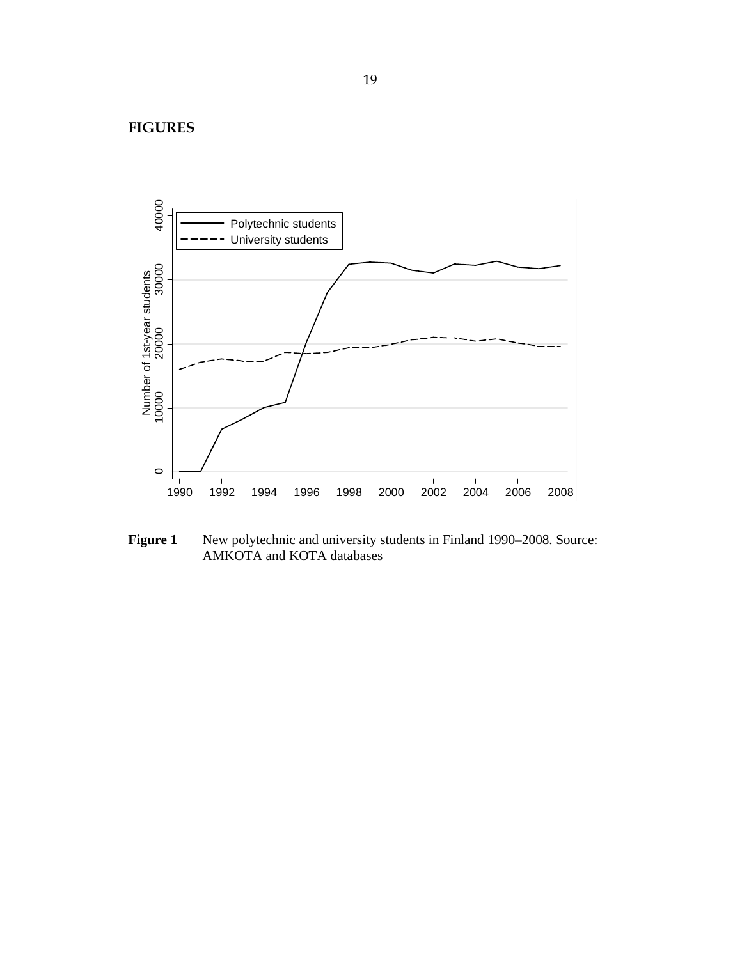**FIGURES** 



**Figure 1** New polytechnic and university students in Finland 1990–2008. Source: AMKOTA and KOTA databases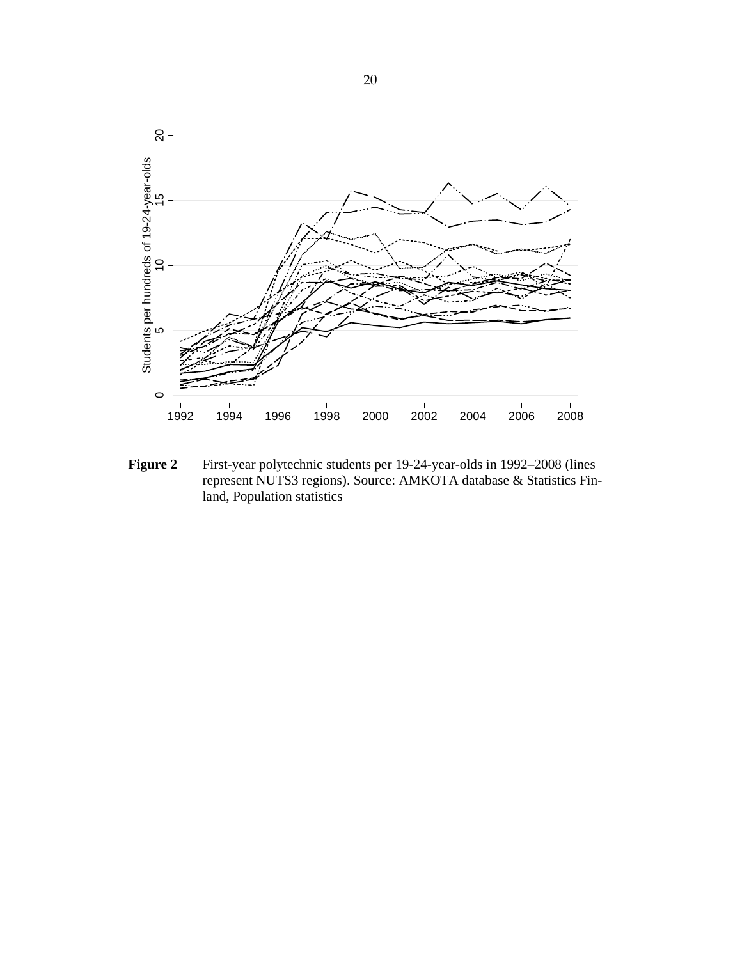

**Figure 2** First-year polytechnic students per 19-24-year-olds in 1992–2008 (lines represent NUTS3 regions). Source: AMKOTA database & Statistics Finland, Population statistics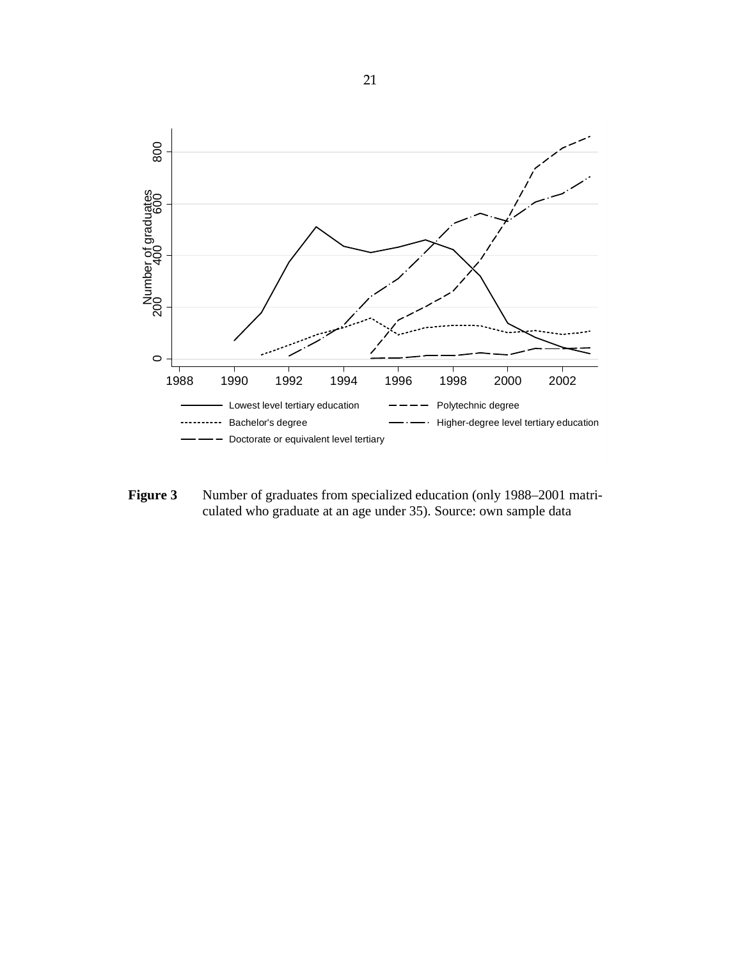

**Figure 3** Number of graduates from specialized education (only 1988–2001 matriculated who graduate at an age under 35). Source: own sample data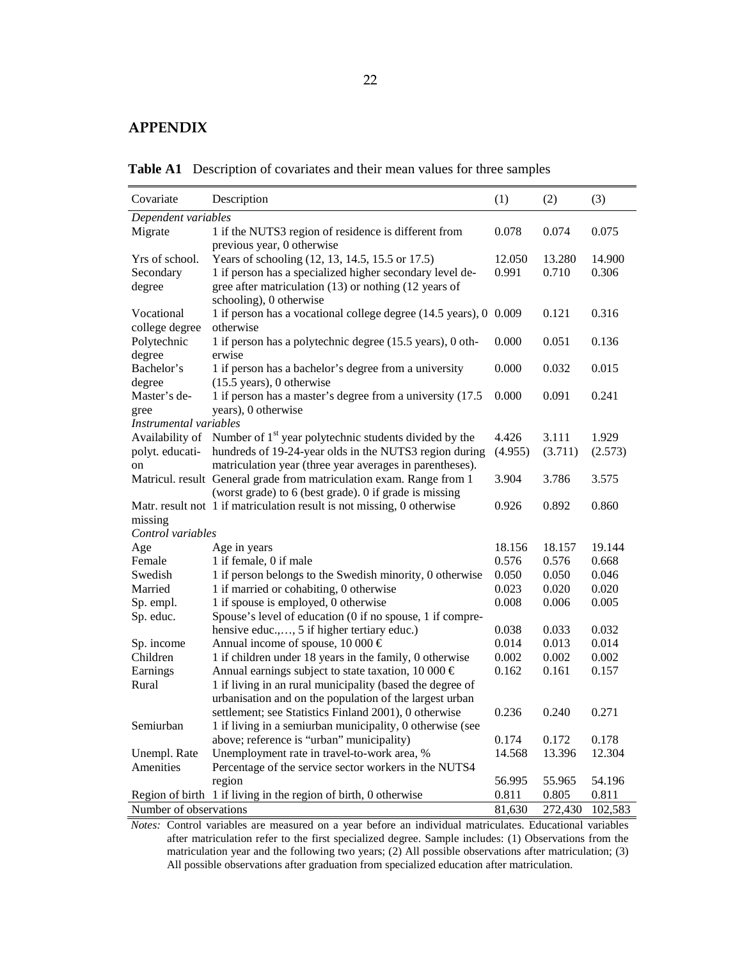### **APPENDIX**

**Table A1** Description of covariates and their mean values for three samples

| Covariate                                                              | Description                                                                        | (1)     | (2)     | (3)     |
|------------------------------------------------------------------------|------------------------------------------------------------------------------------|---------|---------|---------|
| Dependent variables                                                    |                                                                                    |         |         |         |
| Migrate                                                                | 1 if the NUTS3 region of residence is different from<br>previous year, 0 otherwise | 0.078   | 0.074   | 0.075   |
| Yrs of school.                                                         | Years of schooling (12, 13, 14.5, 15.5 or 17.5)                                    | 12.050  | 13.280  | 14.900  |
| Secondary                                                              | 1 if person has a specialized higher secondary level de-                           | 0.991   | 0.710   | 0.306   |
| degree                                                                 | gree after matriculation (13) or nothing (12 years of<br>schooling), 0 otherwise   |         |         |         |
| Vocational                                                             | 1 if person has a vocational college degree (14.5 years), 0 0.009                  |         | 0.121   | 0.316   |
| college degree                                                         | otherwise                                                                          |         |         |         |
| Polytechnic                                                            | 1 if person has a polytechnic degree (15.5 years), 0 oth-                          | 0.000   | 0.051   | 0.136   |
| degree                                                                 | erwise                                                                             |         |         |         |
| Bachelor's                                                             | 1 if person has a bachelor's degree from a university                              | 0.000   | 0.032   | 0.015   |
| degree<br>Master's de-                                                 | $(15.5 \text{ years})$ , 0 otherwise                                               | 0.000   | 0.091   | 0.241   |
|                                                                        | 1 if person has a master's degree from a university (17.5)<br>years), 0 otherwise  |         |         |         |
| gree<br>Instrumental variables                                         |                                                                                    |         |         |         |
|                                                                        | Availability of Number of 1 <sup>st</sup> year polytechnic students divided by the | 4.426   | 3.111   | 1.929   |
| polyt. educati-                                                        | hundreds of 19-24-year olds in the NUTS3 region during                             | (4.955) | (3.711) | (2.573) |
| on                                                                     | matriculation year (three year averages in parentheses).                           |         |         |         |
|                                                                        | Matricul. result General grade from matriculation exam. Range from 1               | 3.904   | 3.786   | 3.575   |
|                                                                        | (worst grade) to 6 (best grade). 0 if grade is missing                             |         |         |         |
|                                                                        | Matr. result not 1 if matriculation result is not missing, 0 otherwise             | 0.926   | 0.892   | 0.860   |
| missing                                                                |                                                                                    |         |         |         |
| Control variables                                                      |                                                                                    |         |         |         |
| Age                                                                    | Age in years                                                                       | 18.156  | 18.157  | 19.144  |
| Female                                                                 | 1 if female, 0 if male                                                             | 0.576   | 0.576   | 0.668   |
| Swedish                                                                | 1 if person belongs to the Swedish minority, 0 otherwise                           | 0.050   | 0.050   | 0.046   |
| Married                                                                | 1 if married or cohabiting, 0 otherwise                                            | 0.023   | 0.020   | 0.020   |
| Sp. empl.                                                              | 1 if spouse is employed, 0 otherwise                                               | 0.008   | 0.006   | 0.005   |
| Sp. educ.<br>Spouse's level of education (0 if no spouse, 1 if compre- |                                                                                    |         |         |         |
|                                                                        | hensive educ.,, 5 if higher tertiary educ.)                                        | 0.038   | 0.033   | 0.032   |
| Sp. income                                                             | Annual income of spouse, 10 000 $\in$                                              | 0.014   | 0.013   | 0.014   |
| Children                                                               | 1 if children under 18 years in the family, 0 otherwise                            | 0.002   | 0.002   | 0.002   |
| Earnings                                                               | Annual earnings subject to state taxation, 10 000 $\in$                            | 0.162   | 0.161   | 0.157   |
| Rural                                                                  | 1 if living in an rural municipality (based the degree of                          |         |         |         |
|                                                                        | urbanisation and on the population of the largest urban                            |         |         |         |
|                                                                        | settlement; see Statistics Finland 2001), 0 otherwise                              | 0.236   | 0.240   | 0.271   |
| Semiurban                                                              | 1 if living in a semiurban municipality, 0 otherwise (see                          |         |         |         |
|                                                                        | above; reference is "urban" municipality)                                          | 0.174   | 0.172   | 0.178   |
| Unempl. Rate                                                           | Unemployment rate in travel-to-work area, %                                        | 14.568  | 13.396  | 12.304  |
| Amenities                                                              | Percentage of the service sector workers in the NUTS4                              |         |         |         |
|                                                                        | region                                                                             | 56.995  | 55.965  | 54.196  |
|                                                                        | Region of birth 1 if living in the region of birth, 0 otherwise                    | 0.811   | 0.805   | 0.811   |
| Number of observations                                                 |                                                                                    | 81,630  | 272,430 | 102,583 |

*Notes:* Control variables are measured on a year before an individual matriculates. Educational variables after matriculation refer to the first specialized degree. Sample includes: (1) Observations from the matriculation year and the following two years; (2) All possible observations after matriculation; (3) All possible observations after graduation from specialized education after matriculation.